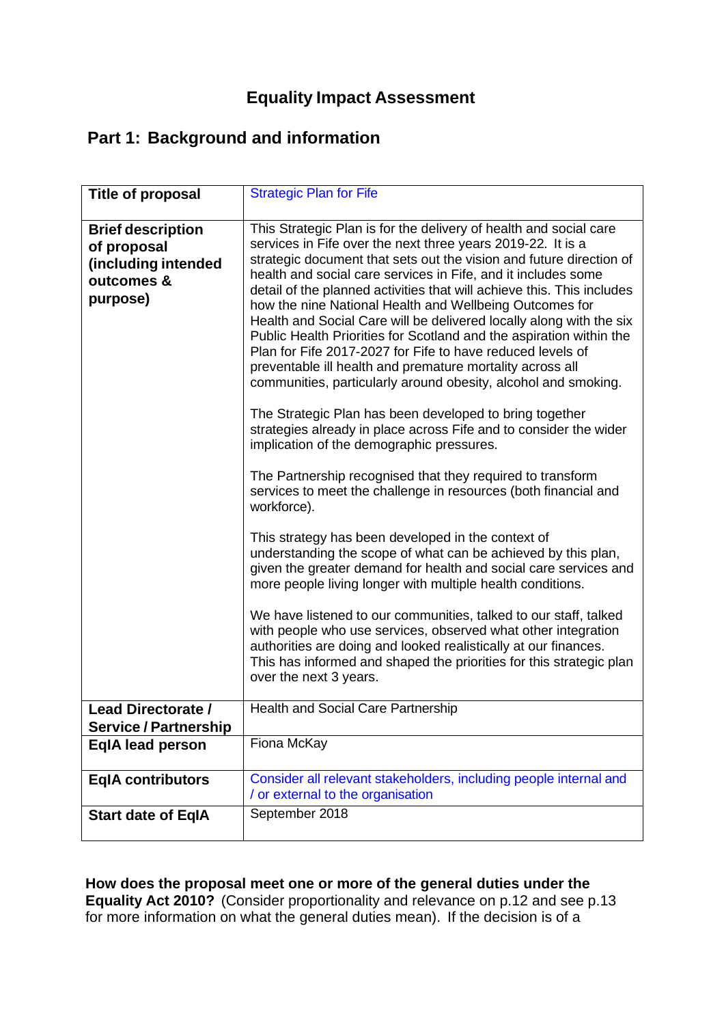# **Equality Impact Assessment**

# **Part 1: Background and information**

| Title of proposal                                                                        | <b>Strategic Plan for Fife</b>                                                                                                                                                                                                                                                                                                                                                                                                                                                                                                                                                                                                                                                                                                                                                                                                                                                                                                                                                                                                                                                                                                                                                                                                                                                                                                                                                                                                                                                                                                                                                                                                                          |
|------------------------------------------------------------------------------------------|---------------------------------------------------------------------------------------------------------------------------------------------------------------------------------------------------------------------------------------------------------------------------------------------------------------------------------------------------------------------------------------------------------------------------------------------------------------------------------------------------------------------------------------------------------------------------------------------------------------------------------------------------------------------------------------------------------------------------------------------------------------------------------------------------------------------------------------------------------------------------------------------------------------------------------------------------------------------------------------------------------------------------------------------------------------------------------------------------------------------------------------------------------------------------------------------------------------------------------------------------------------------------------------------------------------------------------------------------------------------------------------------------------------------------------------------------------------------------------------------------------------------------------------------------------------------------------------------------------------------------------------------------------|
| <b>Brief description</b><br>of proposal<br>(including intended<br>outcomes &<br>purpose) | This Strategic Plan is for the delivery of health and social care<br>services in Fife over the next three years 2019-22. It is a<br>strategic document that sets out the vision and future direction of<br>health and social care services in Fife, and it includes some<br>detail of the planned activities that will achieve this. This includes<br>how the nine National Health and Wellbeing Outcomes for<br>Health and Social Care will be delivered locally along with the six<br>Public Health Priorities for Scotland and the aspiration within the<br>Plan for Fife 2017-2027 for Fife to have reduced levels of<br>preventable ill health and premature mortality across all<br>communities, particularly around obesity, alcohol and smoking.<br>The Strategic Plan has been developed to bring together<br>strategies already in place across Fife and to consider the wider<br>implication of the demographic pressures.<br>The Partnership recognised that they required to transform<br>services to meet the challenge in resources (both financial and<br>workforce).<br>This strategy has been developed in the context of<br>understanding the scope of what can be achieved by this plan,<br>given the greater demand for health and social care services and<br>more people living longer with multiple health conditions.<br>We have listened to our communities, talked to our staff, talked<br>with people who use services, observed what other integration<br>authorities are doing and looked realistically at our finances.<br>This has informed and shaped the priorities for this strategic plan<br>over the next 3 years. |
| <b>Lead Directorate /</b><br><b>Service / Partnership</b>                                | <b>Health and Social Care Partnership</b>                                                                                                                                                                                                                                                                                                                                                                                                                                                                                                                                                                                                                                                                                                                                                                                                                                                                                                                                                                                                                                                                                                                                                                                                                                                                                                                                                                                                                                                                                                                                                                                                               |
| <b>EqIA lead person</b>                                                                  | Fiona McKay                                                                                                                                                                                                                                                                                                                                                                                                                                                                                                                                                                                                                                                                                                                                                                                                                                                                                                                                                                                                                                                                                                                                                                                                                                                                                                                                                                                                                                                                                                                                                                                                                                             |
| <b>EqIA contributors</b>                                                                 | Consider all relevant stakeholders, including people internal and                                                                                                                                                                                                                                                                                                                                                                                                                                                                                                                                                                                                                                                                                                                                                                                                                                                                                                                                                                                                                                                                                                                                                                                                                                                                                                                                                                                                                                                                                                                                                                                       |
|                                                                                          | / or external to the organisation                                                                                                                                                                                                                                                                                                                                                                                                                                                                                                                                                                                                                                                                                                                                                                                                                                                                                                                                                                                                                                                                                                                                                                                                                                                                                                                                                                                                                                                                                                                                                                                                                       |
| <b>Start date of EqIA</b>                                                                | September 2018                                                                                                                                                                                                                                                                                                                                                                                                                                                                                                                                                                                                                                                                                                                                                                                                                                                                                                                                                                                                                                                                                                                                                                                                                                                                                                                                                                                                                                                                                                                                                                                                                                          |

**How does the proposal meet one or more of the general duties under the Equality Act 2010?** (Consider proportionality and relevance on p.12 and see p.13 for more information on what the general duties mean). If the decision is of a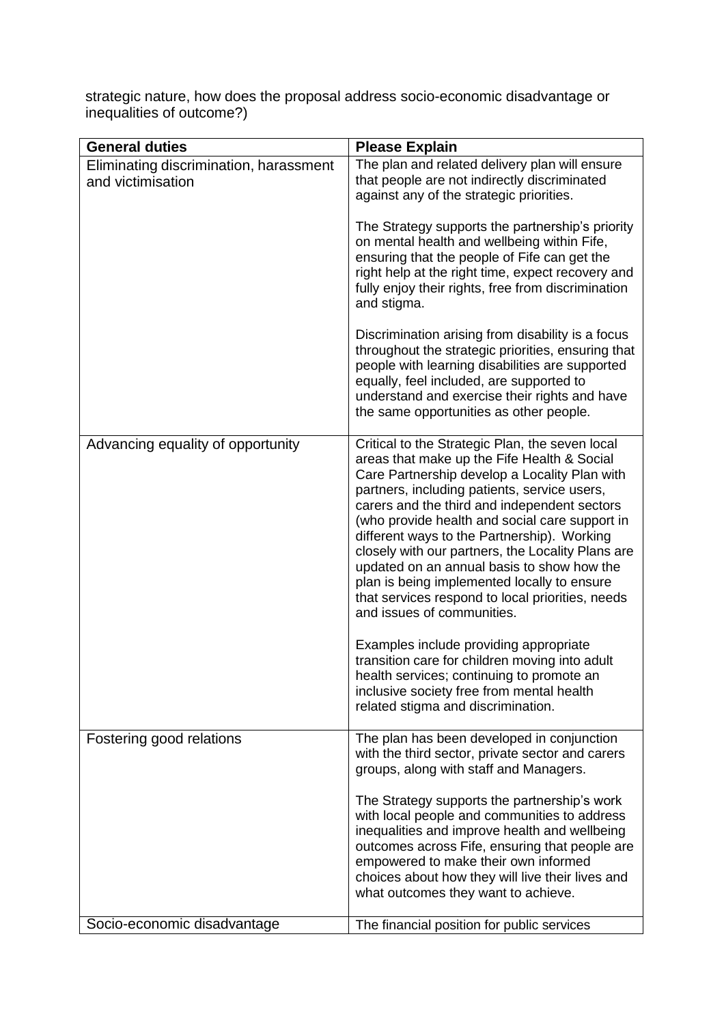strategic nature, how does the proposal address socio-economic disadvantage or inequalities of outcome?)

| <b>General duties</b>                                       | <b>Please Explain</b>                                                                                                                                                                                                                                                                                                                                                                                                                                                                                                                                                                                                                                                                                                                                                                                            |
|-------------------------------------------------------------|------------------------------------------------------------------------------------------------------------------------------------------------------------------------------------------------------------------------------------------------------------------------------------------------------------------------------------------------------------------------------------------------------------------------------------------------------------------------------------------------------------------------------------------------------------------------------------------------------------------------------------------------------------------------------------------------------------------------------------------------------------------------------------------------------------------|
| Eliminating discrimination, harassment<br>and victimisation | The plan and related delivery plan will ensure<br>that people are not indirectly discriminated<br>against any of the strategic priorities.                                                                                                                                                                                                                                                                                                                                                                                                                                                                                                                                                                                                                                                                       |
|                                                             | The Strategy supports the partnership's priority<br>on mental health and wellbeing within Fife,<br>ensuring that the people of Fife can get the<br>right help at the right time, expect recovery and<br>fully enjoy their rights, free from discrimination<br>and stigma.                                                                                                                                                                                                                                                                                                                                                                                                                                                                                                                                        |
|                                                             | Discrimination arising from disability is a focus<br>throughout the strategic priorities, ensuring that<br>people with learning disabilities are supported<br>equally, feel included, are supported to<br>understand and exercise their rights and have<br>the same opportunities as other people.                                                                                                                                                                                                                                                                                                                                                                                                                                                                                                               |
| Advancing equality of opportunity                           | Critical to the Strategic Plan, the seven local<br>areas that make up the Fife Health & Social<br>Care Partnership develop a Locality Plan with<br>partners, including patients, service users,<br>carers and the third and independent sectors<br>(who provide health and social care support in<br>different ways to the Partnership). Working<br>closely with our partners, the Locality Plans are<br>updated on an annual basis to show how the<br>plan is being implemented locally to ensure<br>that services respond to local priorities, needs<br>and issues of communities.<br>Examples include providing appropriate<br>transition care for children moving into adult<br>health services; continuing to promote an<br>inclusive society free from mental health<br>related stigma and discrimination. |
| Fostering good relations                                    | The plan has been developed in conjunction<br>with the third sector, private sector and carers<br>groups, along with staff and Managers.<br>The Strategy supports the partnership's work<br>with local people and communities to address<br>inequalities and improve health and wellbeing<br>outcomes across Fife, ensuring that people are<br>empowered to make their own informed<br>choices about how they will live their lives and<br>what outcomes they want to achieve.                                                                                                                                                                                                                                                                                                                                   |
| Socio-economic disadvantage                                 | The financial position for public services                                                                                                                                                                                                                                                                                                                                                                                                                                                                                                                                                                                                                                                                                                                                                                       |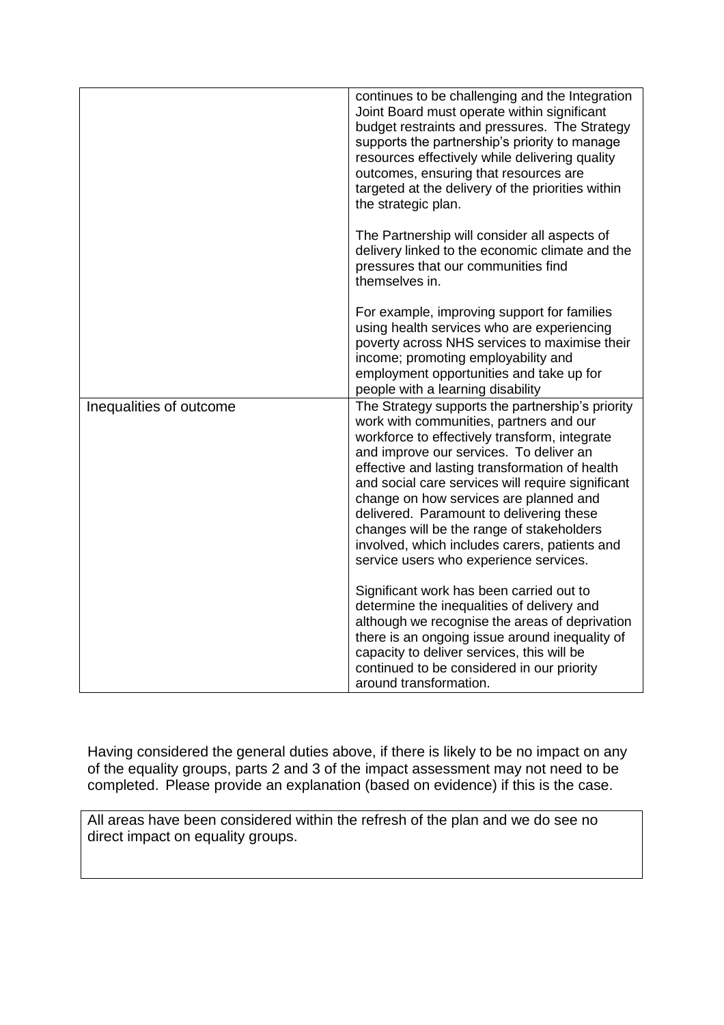|                         | continues to be challenging and the Integration<br>Joint Board must operate within significant<br>budget restraints and pressures. The Strategy<br>supports the partnership's priority to manage<br>resources effectively while delivering quality<br>outcomes, ensuring that resources are<br>targeted at the delivery of the priorities within<br>the strategic plan.                                                                                                                                                      |
|-------------------------|------------------------------------------------------------------------------------------------------------------------------------------------------------------------------------------------------------------------------------------------------------------------------------------------------------------------------------------------------------------------------------------------------------------------------------------------------------------------------------------------------------------------------|
|                         | The Partnership will consider all aspects of<br>delivery linked to the economic climate and the<br>pressures that our communities find<br>themselves in.                                                                                                                                                                                                                                                                                                                                                                     |
|                         | For example, improving support for families<br>using health services who are experiencing<br>poverty across NHS services to maximise their<br>income; promoting employability and<br>employment opportunities and take up for<br>people with a learning disability                                                                                                                                                                                                                                                           |
| Inequalities of outcome | The Strategy supports the partnership's priority<br>work with communities, partners and our<br>workforce to effectively transform, integrate<br>and improve our services. To deliver an<br>effective and lasting transformation of health<br>and social care services will require significant<br>change on how services are planned and<br>delivered. Paramount to delivering these<br>changes will be the range of stakeholders<br>involved, which includes carers, patients and<br>service users who experience services. |
|                         | Significant work has been carried out to<br>determine the inequalities of delivery and<br>although we recognise the areas of deprivation<br>there is an ongoing issue around inequality of<br>capacity to deliver services, this will be<br>continued to be considered in our priority<br>around transformation.                                                                                                                                                                                                             |

Having considered the general duties above, if there is likely to be no impact on any of the equality groups, parts 2 and 3 of the impact assessment may not need to be completed. Please provide an explanation (based on evidence) if this is the case.

All areas have been considered within the refresh of the plan and we do see no direct impact on equality groups.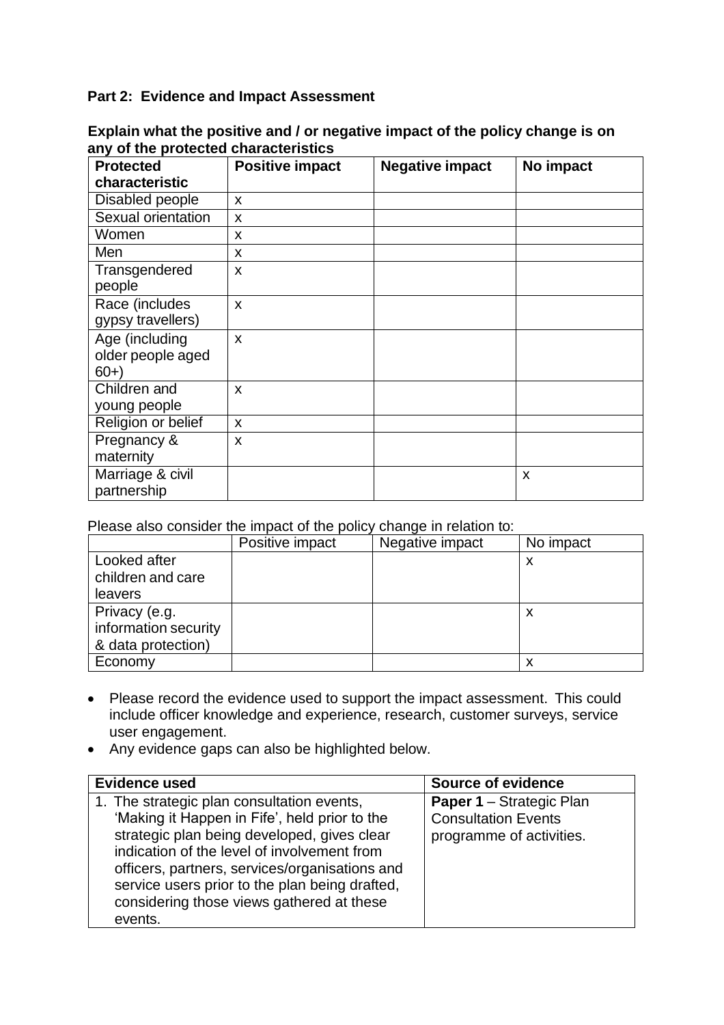## **Part 2: Evidence and Impact Assessment**

| <b>Protected</b><br>characteristic           | <b>Positive impact</b> | <b>Negative impact</b> | No impact |
|----------------------------------------------|------------------------|------------------------|-----------|
| Disabled people                              | X                      |                        |           |
| Sexual orientation                           | X                      |                        |           |
| Women                                        | X                      |                        |           |
| Men                                          | X                      |                        |           |
| Transgendered<br>people                      | X                      |                        |           |
| Race (includes<br>gypsy travellers)          | X                      |                        |           |
| Age (including<br>older people aged<br>$60+$ | X                      |                        |           |
| Children and<br>young people                 | X                      |                        |           |
| Religion or belief                           | X                      |                        |           |
| Pregnancy &<br>maternity                     | X                      |                        |           |
| Marriage & civil<br>partnership              |                        |                        | X         |

**Explain what the positive and / or negative impact of the policy change is on any of the protected characteristics**

Please also consider the impact of the policy change in relation to:

|                      | Positive impact | Negative impact | No impact |
|----------------------|-----------------|-----------------|-----------|
| Looked after         |                 |                 |           |
| children and care    |                 |                 |           |
| leavers              |                 |                 |           |
| Privacy (e.g.        |                 |                 |           |
| information security |                 |                 |           |
| & data protection)   |                 |                 |           |
| Economy              |                 |                 | ⋏         |

- Please record the evidence used to support the impact assessment. This could include officer knowledge and experience, research, customer surveys, service user engagement.
- Any evidence gaps can also be highlighted below.

| <b>Evidence used</b>                                                                                                                                                                                                                                                                                                                                  | Source of evidence                                                                        |
|-------------------------------------------------------------------------------------------------------------------------------------------------------------------------------------------------------------------------------------------------------------------------------------------------------------------------------------------------------|-------------------------------------------------------------------------------------------|
| 1. The strategic plan consultation events,<br>'Making it Happen in Fife', held prior to the<br>strategic plan being developed, gives clear<br>indication of the level of involvement from<br>officers, partners, services/organisations and<br>service users prior to the plan being drafted,<br>considering those views gathered at these<br>events. | <b>Paper 1 – Strategic Plan</b><br><b>Consultation Events</b><br>programme of activities. |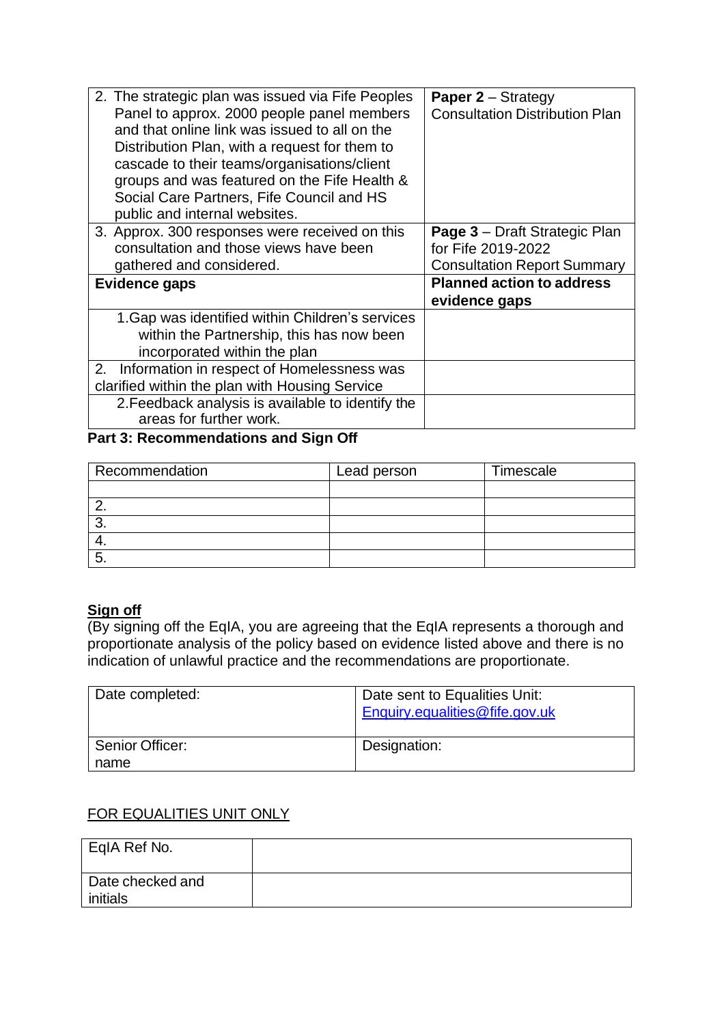| 2. The strategic plan was issued via Fife Peoples<br>Panel to approx. 2000 people panel members<br>and that online link was issued to all on the<br>Distribution Plan, with a request for them to<br>cascade to their teams/organisations/client<br>groups and was featured on the Fife Health &<br>Social Care Partners, Fife Council and HS<br>public and internal websites. | <b>Paper 2 – Strategy</b><br><b>Consultation Distribution Plan</b> |
|--------------------------------------------------------------------------------------------------------------------------------------------------------------------------------------------------------------------------------------------------------------------------------------------------------------------------------------------------------------------------------|--------------------------------------------------------------------|
| 3. Approx. 300 responses were received on this                                                                                                                                                                                                                                                                                                                                 | <b>Page 3</b> – Draft Strategic Plan                               |
| consultation and those views have been                                                                                                                                                                                                                                                                                                                                         | for Fife 2019-2022                                                 |
| gathered and considered.                                                                                                                                                                                                                                                                                                                                                       | <b>Consultation Report Summary</b>                                 |
| Evidence gaps                                                                                                                                                                                                                                                                                                                                                                  | <b>Planned action to address</b>                                   |
|                                                                                                                                                                                                                                                                                                                                                                                | evidence gaps                                                      |
| 1. Gap was identified within Children's services                                                                                                                                                                                                                                                                                                                               |                                                                    |
| within the Partnership, this has now been                                                                                                                                                                                                                                                                                                                                      |                                                                    |
| incorporated within the plan                                                                                                                                                                                                                                                                                                                                                   |                                                                    |
| Information in respect of Homelessness was<br>2.                                                                                                                                                                                                                                                                                                                               |                                                                    |
| clarified within the plan with Housing Service                                                                                                                                                                                                                                                                                                                                 |                                                                    |
| 2. Feedback analysis is available to identify the                                                                                                                                                                                                                                                                                                                              |                                                                    |
| areas for further work.                                                                                                                                                                                                                                                                                                                                                        |                                                                    |

## **Part 3: Recommendations and Sign Off**

| Recommendation | Lead person | Timescale |
|----------------|-------------|-----------|
|                |             |           |
|                |             |           |
| ັ              |             |           |
|                |             |           |
| J              |             |           |

# **Sign off**

(By signing off the EqIA, you are agreeing that the EqIA represents a thorough and proportionate analysis of the policy based on evidence listed above and there is no indication of unlawful practice and the recommendations are proportionate.

| Date completed: | Date sent to Equalities Unit:<br>Enquiry.equalities@fife.gov.uk |
|-----------------|-----------------------------------------------------------------|
| Senior Officer: | Designation:                                                    |
| name            |                                                                 |

### FOR EQUALITIES UNIT ONLY

| EqIA Ref No.     |  |
|------------------|--|
| Date checked and |  |
| initials         |  |